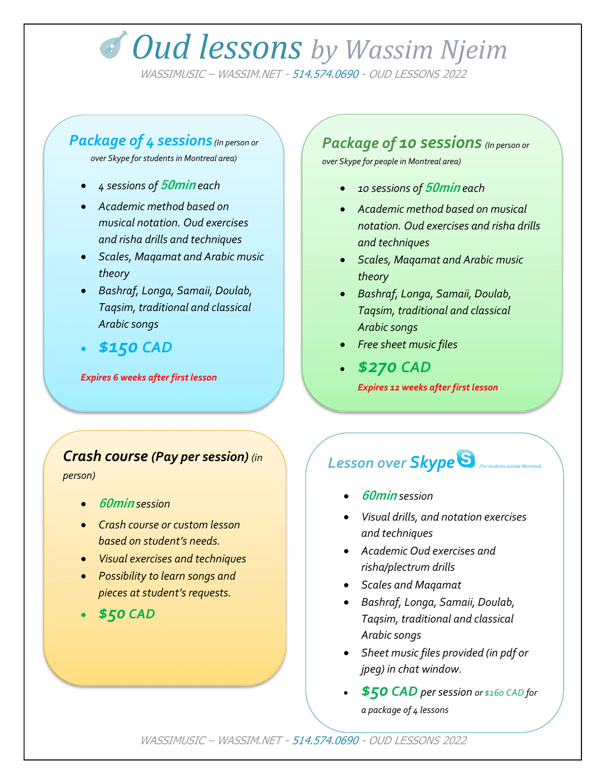# **Oud lessons** by Wassim Njeim

WASSIMUSIC – WASSIM.NET - 514.574.0690 - OUD LESSONS 2022

#### Package of 4 sessions (In person or

over Skype for students in Montreal area)

- 4 sessions of 50min each
- Academic method based on musical notation. Oud exercises and risha drills and techniques
- Scales, Maqamat and Arabic music theory
- Bashraf, Longa, Samaii, Doulab, Taqsim, traditional and classical Arabic songs
- \$150 CAD

Expires 6 weeks after first lesson

#### Package of 10 sessions (In person or

over Skype for people in Montreal area)

- 10 sessions of 50min each
- Academic method based on musical notation. Oud exercises and risha drills and techniques
- Scales, Maqamat and Arabic music theory
- Bashraf, Longa, Samaii, Doulab, Taqsim, traditional and classical Arabic songs
- Free sheet music files
- \$270 CAD Expires 12 weeks after first lesson

#### Crash course (Pay per session) (in

person)

- 60min session
- **Crash course or custom lesson** based on student's needs.
- Visual exercises and techniques
- Possibility to learn songs and pieces at student's requests.

\$50 CAD

### Lesson over Skype<sup>S</sup>

- 60min session
- Visual drills, and notation exercises and techniques
- Academic Oud exercises and risha/plectrum drills
- Scales and Magamat
- Bashraf, Longa, Samaii, Doulab, Taqsim, traditional and classical Arabic songs
- Sheet music files provided (in pdf or jpeg) in chat window.
- \$50 CAD per session or \$160 CAD for a package of 4 lessons

WASSIMUSIC – WASSIM.NET - 514.574.0690 - OUD LESSONS 2022